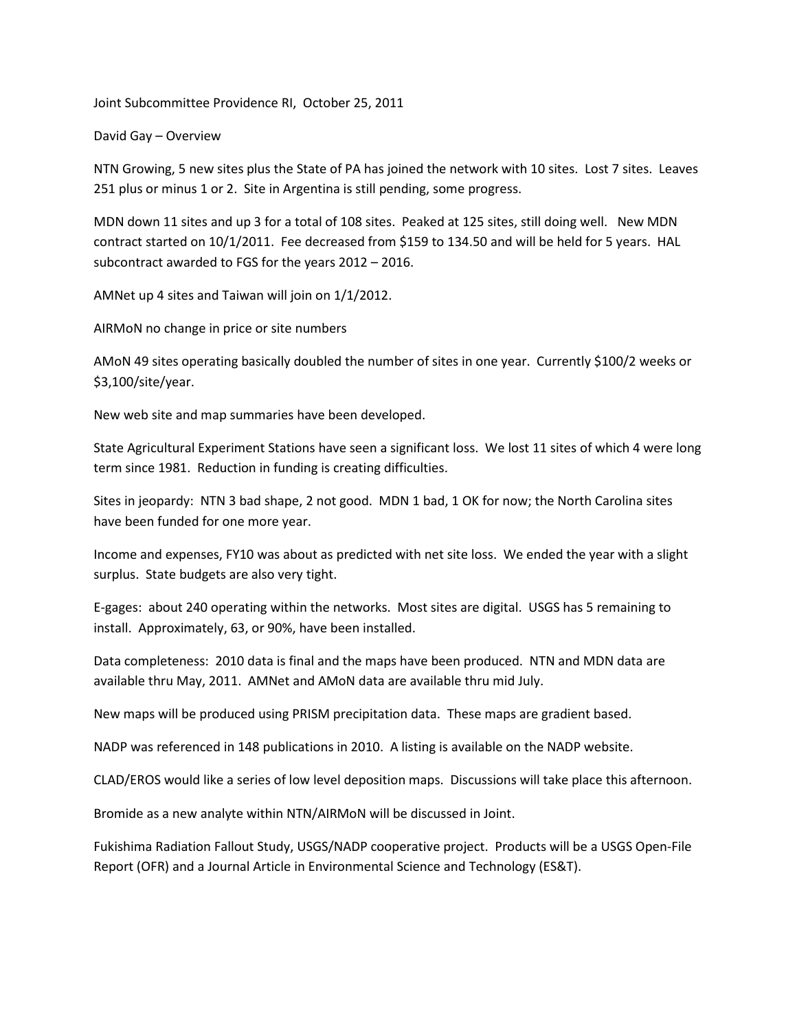Joint Subcommittee Providence RI, October 25, 2011

David Gay – Overview

NTN Growing, 5 new sites plus the State of PA has joined the network with 10 sites. Lost 7 sites. Leaves 251 plus or minus 1 or 2. Site in Argentina is still pending, some progress.

MDN down 11 sites and up 3 for a total of 108 sites. Peaked at 125 sites, still doing well. New MDN contract started on 10/1/2011. Fee decreased from \$159 to 134.50 and will be held for 5 years. HAL subcontract awarded to FGS for the years 2012 – 2016.

AMNet up 4 sites and Taiwan will join on 1/1/2012.

AIRMoN no change in price or site numbers

AMoN 49 sites operating basically doubled the number of sites in one year. Currently \$100/2 weeks or \$3,100/site/year.

New web site and map summaries have been developed.

State Agricultural Experiment Stations have seen a significant loss. We lost 11 sites of which 4 were long term since 1981. Reduction in funding is creating difficulties.

Sites in jeopardy: NTN 3 bad shape, 2 not good. MDN 1 bad, 1 OK for now; the North Carolina sites have been funded for one more year.

Income and expenses, FY10 was about as predicted with net site loss. We ended the year with a slight surplus. State budgets are also very tight.

E-gages: about 240 operating within the networks. Most sites are digital. USGS has 5 remaining to install. Approximately, 63, or 90%, have been installed.

Data completeness: 2010 data is final and the maps have been produced. NTN and MDN data are available thru May, 2011. AMNet and AMoN data are available thru mid July.

New maps will be produced using PRISM precipitation data. These maps are gradient based.

NADP was referenced in 148 publications in 2010. A listing is available on the NADP website.

CLAD/EROS would like a series of low level deposition maps. Discussions will take place this afternoon.

Bromide as a new analyte within NTN/AIRMoN will be discussed in Joint.

Fukishima Radiation Fallout Study, USGS/NADP cooperative project. Products will be a USGS Open-File Report (OFR) and a Journal Article in Environmental Science and Technology (ES&T).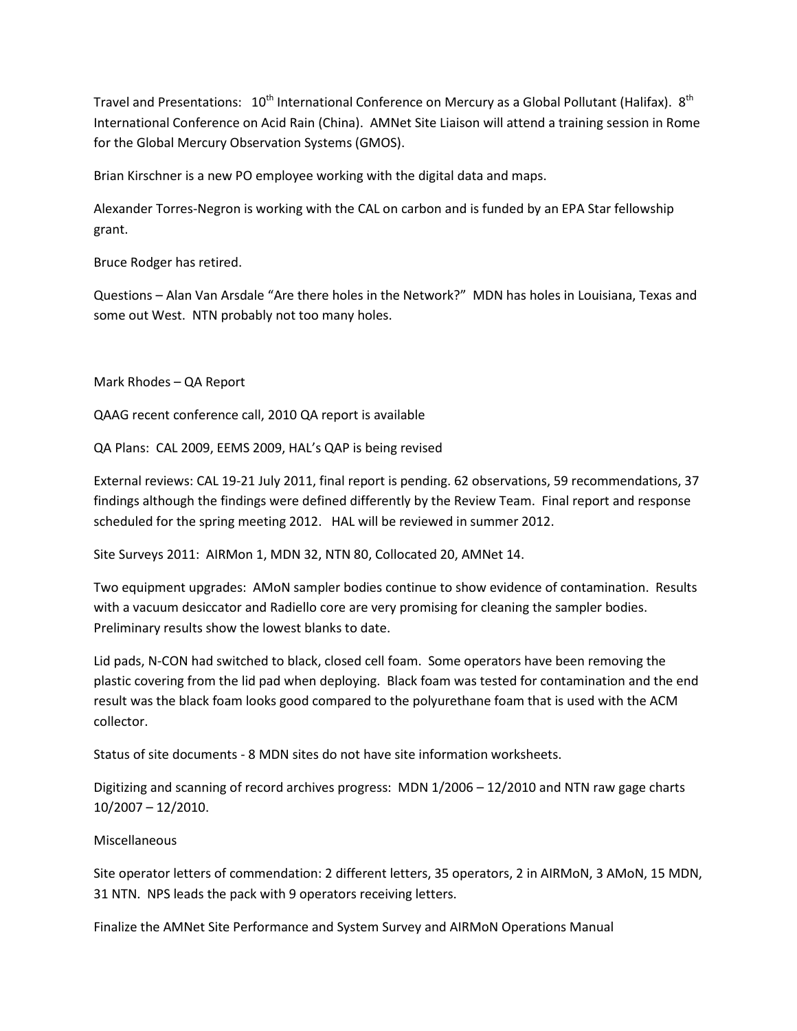Travel and Presentations:  $10^{th}$  International Conference on Mercury as a Global Pollutant (Halifax).  $8^{th}$ International Conference on Acid Rain (China). AMNet Site Liaison will attend a training session in Rome for the Global Mercury Observation Systems (GMOS).

Brian Kirschner is a new PO employee working with the digital data and maps.

Alexander Torres-Negron is working with the CAL on carbon and is funded by an EPA Star fellowship grant.

Bruce Rodger has retired.

Questions – Alan Van Arsdale "Are there holes in the Network?" MDN has holes in Louisiana, Texas and some out West. NTN probably not too many holes.

Mark Rhodes – QA Report

QAAG recent conference call, 2010 QA report is available

QA Plans: CAL 2009, EEMS 2009, HAL's QAP is being revised

External reviews: CAL 19-21 July 2011, final report is pending. 62 observations, 59 recommendations, 37 findings although the findings were defined differently by the Review Team. Final report and response scheduled for the spring meeting 2012. HAL will be reviewed in summer 2012.

Site Surveys 2011: AIRMon 1, MDN 32, NTN 80, Collocated 20, AMNet 14.

Two equipment upgrades: AMoN sampler bodies continue to show evidence of contamination. Results with a vacuum desiccator and Radiello core are very promising for cleaning the sampler bodies. Preliminary results show the lowest blanks to date.

Lid pads, N-CON had switched to black, closed cell foam. Some operators have been removing the plastic covering from the lid pad when deploying. Black foam was tested for contamination and the end result was the black foam looks good compared to the polyurethane foam that is used with the ACM collector.

Status of site documents - 8 MDN sites do not have site information worksheets.

Digitizing and scanning of record archives progress: MDN 1/2006 – 12/2010 and NTN raw gage charts 10/2007 – 12/2010.

## Miscellaneous

Site operator letters of commendation: 2 different letters, 35 operators, 2 in AIRMoN, 3 AMoN, 15 MDN, 31 NTN. NPS leads the pack with 9 operators receiving letters.

Finalize the AMNet Site Performance and System Survey and AIRMoN Operations Manual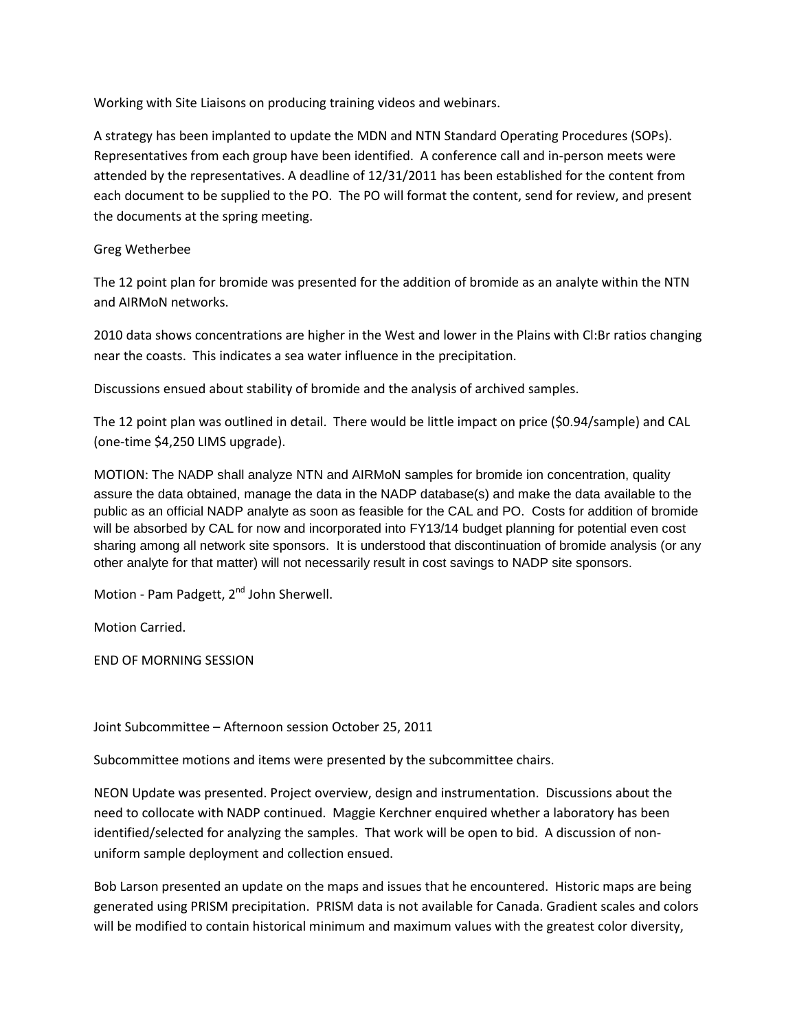Working with Site Liaisons on producing training videos and webinars.

A strategy has been implanted to update the MDN and NTN Standard Operating Procedures (SOPs). Representatives from each group have been identified. A conference call and in-person meets were attended by the representatives. A deadline of 12/31/2011 has been established for the content from each document to be supplied to the PO. The PO will format the content, send for review, and present the documents at the spring meeting.

## Greg Wetherbee

The 12 point plan for bromide was presented for the addition of bromide as an analyte within the NTN and AIRMoN networks.

2010 data shows concentrations are higher in the West and lower in the Plains with Cl:Br ratios changing near the coasts. This indicates a sea water influence in the precipitation.

Discussions ensued about stability of bromide and the analysis of archived samples.

The 12 point plan was outlined in detail. There would be little impact on price (\$0.94/sample) and CAL (one-time \$4,250 LIMS upgrade).

MOTION: The NADP shall analyze NTN and AIRMoN samples for bromide ion concentration, quality assure the data obtained, manage the data in the NADP database(s) and make the data available to the public as an official NADP analyte as soon as feasible for the CAL and PO. Costs for addition of bromide will be absorbed by CAL for now and incorporated into FY13/14 budget planning for potential even cost sharing among all network site sponsors. It is understood that discontinuation of bromide analysis (or any other analyte for that matter) will not necessarily result in cost savings to NADP site sponsors.

Motion - Pam Padgett, 2<sup>nd</sup> John Sherwell.

Motion Carried.

END OF MORNING SESSION

Joint Subcommittee – Afternoon session October 25, 2011

Subcommittee motions and items were presented by the subcommittee chairs.

NEON Update was presented. Project overview, design and instrumentation. Discussions about the need to collocate with NADP continued. Maggie Kerchner enquired whether a laboratory has been identified/selected for analyzing the samples. That work will be open to bid. A discussion of nonuniform sample deployment and collection ensued.

Bob Larson presented an update on the maps and issues that he encountered. Historic maps are being generated using PRISM precipitation. PRISM data is not available for Canada. Gradient scales and colors will be modified to contain historical minimum and maximum values with the greatest color diversity,